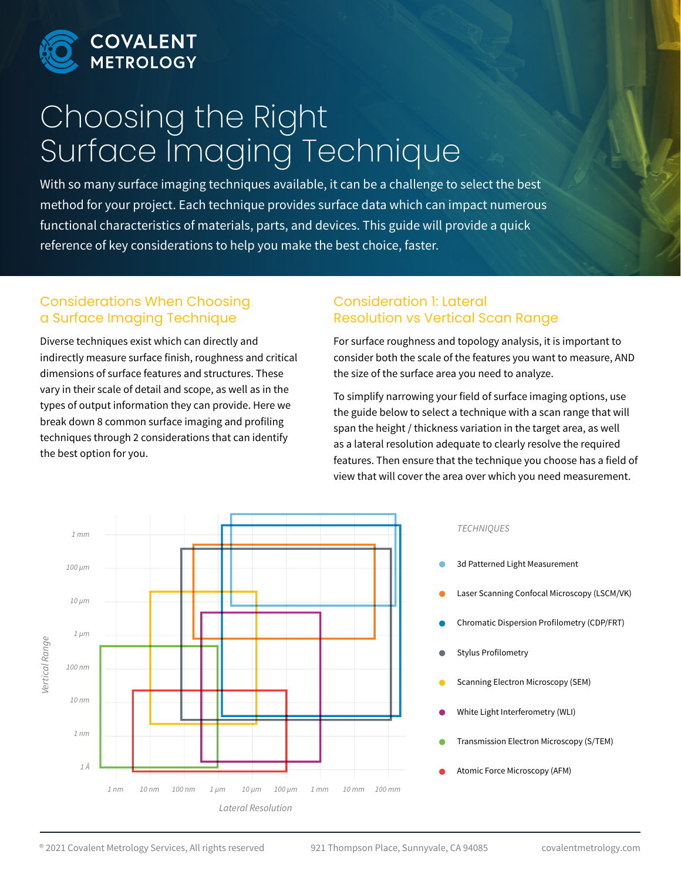

# Choosing the Right Surface Imaging Technique

With so many surface imaging techniques available, it can be a challenge to select the best method for your project. Each technique provides surface data which can impact numerous functional characteristics of materials, parts, and devices. This guide will provide a quick reference of key considerations to help you make the best choice, faster.

## Considerations When Choosing a Surface Imaging Technique

Diverse techniques exist which can directly and indirectly measure surface finish, roughness and critical dimensions of surface features and structures. These vary in their scale of detail and scope, as well as in the types of output information they can provide. Here we break down 8 common surface imaging and profiling techniques through 2 considerations that can identify the best option for you.

#### Consideration 1: Lateral Resolution vs Vertical Scan Range

For surface roughness and topology analysis, it is important to consider both the scale of the features you want to measure, AND the size of the surface area you need to analyze.

To simplify narrowing your field of surface imaging options, use the guide below to select a technique with a scan range that will span the height / thickness variation in the target area, as well as a lateral resolution adequate to clearly resolve the required features. Then ensure that the technique you choose has a field of view that will cover the area over which you need measurement.